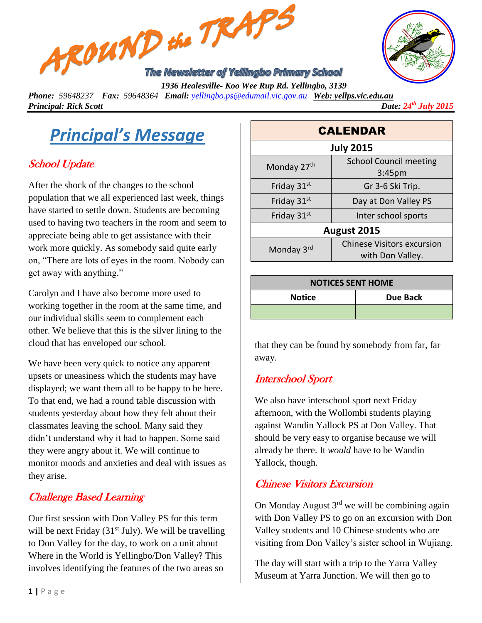



*Phone: 59648237 Fax: 59648364 Email: [yellingbo.ps@edumail.vic.gov.au](mailto:yellingbo.ps@edumail.vic.gov.au) Web: yellps.vic.edu.au Principal: Rick Scott Date:* 24<sup>th</sup> July 2015

*Principal's Message*

# School Update

After the shock of the changes to the school population that we all experienced last week, things have started to settle down. Students are becoming used to having two teachers in the room and seem to appreciate being able to get assistance with their work more quickly. As somebody said quite early on, "There are lots of eyes in the room. Nobody can get away with anything."

Carolyn and I have also become more used to working together in the room at the same time, and our individual skills seem to complement each other. We believe that this is the silver lining to the cloud that has enveloped our school.

We have been very quick to notice any apparent upsets or uneasiness which the students may have displayed; we want them all to be happy to be here. To that end, we had a round table discussion with students yesterday about how they felt about their classmates leaving the school. Many said they didn't understand why it had to happen. Some said they were angry about it. We will continue to monitor moods and anxieties and deal with issues as they arise.

## Challenge Based Learning

Our first session with Don Valley PS for this term will be next Friday  $(31<sup>st</sup>$  July). We will be travelling to Don Valley for the day, to work on a unit about Where in the World is Yellingbo/Don Valley? This involves identifying the features of the two areas so

| <b>CALENDAR</b>  |                                                       |  |
|------------------|-------------------------------------------------------|--|
| <b>July 2015</b> |                                                       |  |
| Monday 27th      | <b>School Council meeting</b><br>3:45 <sub>pm</sub>   |  |
| Friday 31st      | Gr 3-6 Ski Trip.                                      |  |
| Friday 31st      | Day at Don Valley PS                                  |  |
| Friday 31st      | Inter school sports                                   |  |
| August 2015      |                                                       |  |
| Monday 3rd       | <b>Chinese Visitors excursion</b><br>with Don Valley. |  |

| <b>NOTICES SENT HOME</b> |                 |  |
|--------------------------|-----------------|--|
| <b>Notice</b>            | <b>Due Back</b> |  |
|                          |                 |  |

that they can be found by somebody from far, far away.

## Interschool Sport

We also have interschool sport next Friday afternoon, with the Wollombi students playing against Wandin Yallock PS at Don Valley. That should be very easy to organise because we will already be there. It *would* have to be Wandin Yallock, though.

#### Chinese Visitors Excursion

On Monday August  $3<sup>rd</sup>$  we will be combining again with Don Valley PS to go on an excursion with Don Valley students and 10 Chinese students who are visiting from Don Valley's sister school in Wujiang.

The day will start with a trip to the Yarra Valley Museum at Yarra Junction. We will then go to